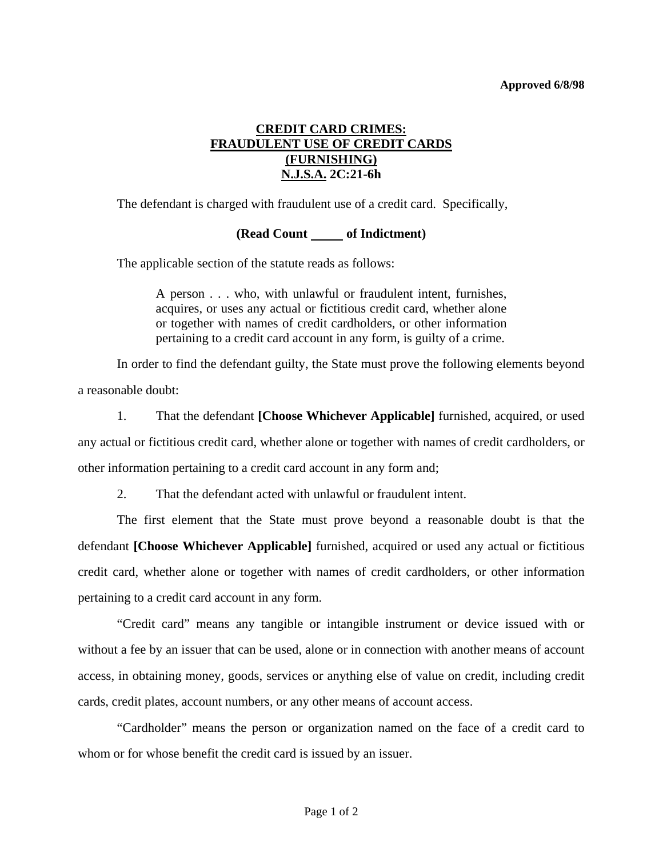## **Approved 6/8/98**

## **CREDIT CARD CRIMES: FRAUDULENT USE OF CREDIT CARDS (FURNISHING) N.J.S.A. 2C:21-6h**

The defendant is charged with fraudulent use of a credit card. Specifically,

## **(Read Count of Indictment)**

The applicable section of the statute reads as follows:

A person . . . who, with unlawful or fraudulent intent, furnishes, acquires, or uses any actual or fictitious credit card, whether alone or together with names of credit cardholders, or other information pertaining to a credit card account in any form, is guilty of a crime.

 In order to find the defendant guilty, the State must prove the following elements beyond a reasonable doubt:

 1. That the defendant **[Choose Whichever Applicable]** furnished, acquired, or used any actual or fictitious credit card, whether alone or together with names of credit cardholders, or other information pertaining to a credit card account in any form and;

2. That the defendant acted with unlawful or fraudulent intent.

 The first element that the State must prove beyond a reasonable doubt is that the defendant **[Choose Whichever Applicable]** furnished, acquired or used any actual or fictitious credit card, whether alone or together with names of credit cardholders, or other information pertaining to a credit card account in any form.

 "Credit card" means any tangible or intangible instrument or device issued with or without a fee by an issuer that can be used, alone or in connection with another means of account access, in obtaining money, goods, services or anything else of value on credit, including credit cards, credit plates, account numbers, or any other means of account access.

 "Cardholder" means the person or organization named on the face of a credit card to whom or for whose benefit the credit card is issued by an issuer.